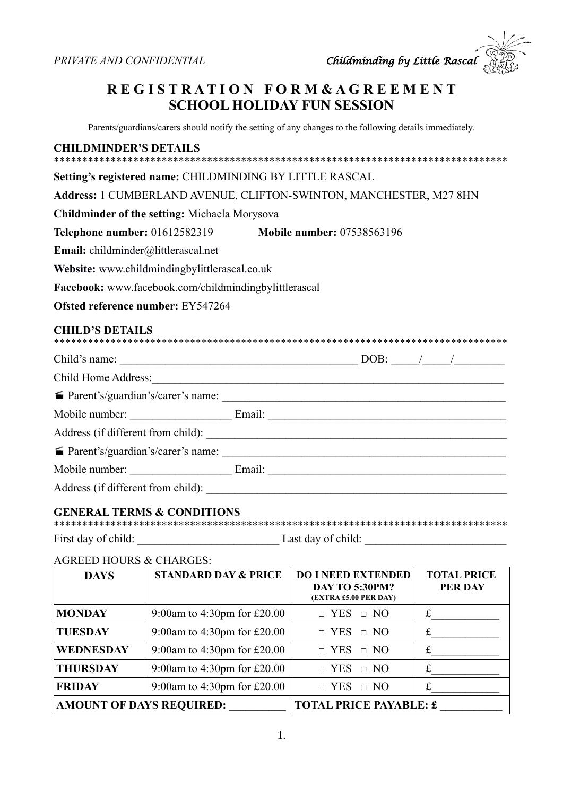

### **R E G I S T R A T I O N F O R M & A G R E E M E N T SCHOOL HOLIDAY FUN SESSION**

Parents/guardians/carers should notify the setting of any changes to the following details immediately.

#### **CHILDMINDER'S DETAILS**

| Setting's registered name: CHILDMINDING BY LITTLE RASCAL |                                                                                                                                                                                                                                |
|----------------------------------------------------------|--------------------------------------------------------------------------------------------------------------------------------------------------------------------------------------------------------------------------------|
|                                                          | Address: 1 CUMBERLAND AVENUE, CLIFTON-SWINTON, MANCHESTER, M27 8HN                                                                                                                                                             |
| <b>Childminder of the setting: Michaela Morysova</b>     |                                                                                                                                                                                                                                |
|                                                          | Telephone number: 01612582319 Mobile number: 07538563196                                                                                                                                                                       |
| Email: childminder@littlerascal.net                      |                                                                                                                                                                                                                                |
| Website: www.childmindingbylittlerascal.co.uk            |                                                                                                                                                                                                                                |
| Facebook: www.facebook.com/childmindingbylittlerascal    |                                                                                                                                                                                                                                |
| <b>Ofsted reference number: EY547264</b>                 |                                                                                                                                                                                                                                |
|                                                          |                                                                                                                                                                                                                                |
| <b>CHILD'S DETAILS</b>                                   |                                                                                                                                                                                                                                |
|                                                          |                                                                                                                                                                                                                                |
|                                                          |                                                                                                                                                                                                                                |
|                                                          |                                                                                                                                                                                                                                |
|                                                          | Mobile number: Email: Email: Email: Email: Email: Email: Email: Email: Email: Email: Email: Email: Email: Email: Email: Email: Email: Email: Email: Email: Email: Email: Email: Email: Email: Email: Email: Email: Email: Emai |
|                                                          |                                                                                                                                                                                                                                |
|                                                          |                                                                                                                                                                                                                                |
|                                                          | Mobile number: Email: Email:                                                                                                                                                                                                   |

#### **GENERAL TERMS & CONDITIONS**

| First day of child: | Last day of child: |
|---------------------|--------------------|

#### AGREED HOURS & CHARGES:

| <b>DAYS</b>                     | <b>STANDARD DAY &amp; PRICE</b> | <b>DO I NEED EXTENDED</b><br><b>DAY TO 5:30PM?</b><br>(EXTRA £5.00 PER DAY) | <b>TOTAL PRICE</b><br><b>PER DAY</b> |
|---------------------------------|---------------------------------|-----------------------------------------------------------------------------|--------------------------------------|
| <b>MONDAY</b>                   | 9:00am to 4:30pm for £20.00     | $\Box$ YES $\Box$ NO                                                        | £                                    |
| <b>TUESDAY</b>                  | 9:00am to 4:30pm for £20.00     | $\Box$ YES $\Box$ NO                                                        |                                      |
| <b>WEDNESDAY</b>                | 9:00am to 4:30pm for £20.00     | $\Box$ YES $\Box$ NO                                                        |                                      |
| <b>THURSDAY</b>                 | 9:00am to 4:30pm for £20.00     | $\Box$ YES $\Box$ NO                                                        | £                                    |
| <b>FRIDAY</b>                   | 9:00am to 4:30pm for £20.00     | $\Box$ YES $\Box$ NO                                                        |                                      |
| <b>AMOUNT OF DAYS REQUIRED:</b> |                                 | <b>TOTAL PRICE PAYABLE: £</b>                                               |                                      |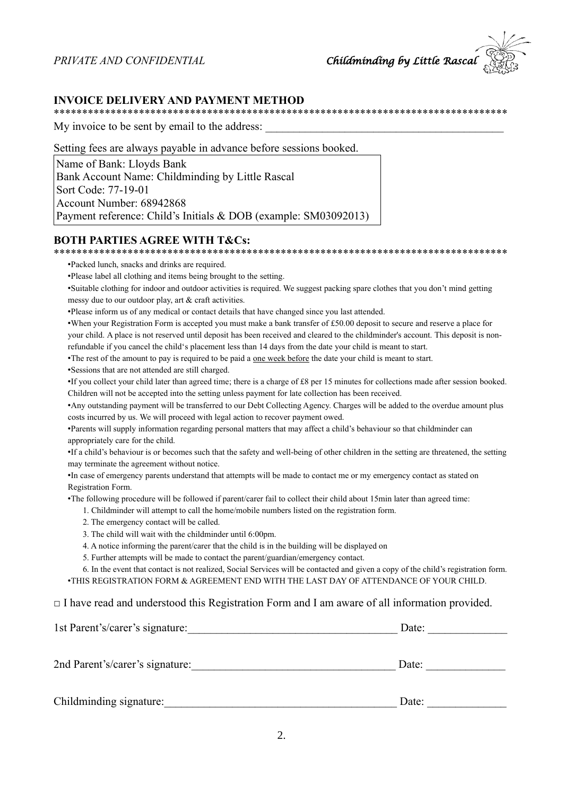#### **INVOICE DELIVERY AND PAYMENT METHOD**

My invoice to be sent by email to the address:

Setting fees are always payable in advance before sessions booked.

Name of Bank: Lloyds Bank Bank Account Name: Childminding by Little Rascal Sort Code: 77-19-01 Account Number: 68942868 Payment reference: Child's Initials & DOB (example: SM03092013)

#### **BOTH PARTIES AGREE WITH T&Cs:**

•Packed lunch, snacks and drinks are required.

•Please label all clothing and items being brought to the setting.

•Suitable clothing for indoor and outdoor activities is required. We suggest packing spare clothes that you don't mind getting messy due to our outdoor play, art  $&$  craft activities.

•Please inform us of any medical or contact details that have changed since you last attended.

•When your Registration Form is accepted you must make a bank transfer of £50.00 deposit to secure and reserve a place for your child. A place is not reserved until deposit has been received and cleared to the childminder's account. This deposit is nonrefundable if you cancel the child's placement less than 14 days from the date your child is meant to start.

•The rest of the amount to pay is required to be paid a one week before the date your child is meant to start.

•Sessions that are not attended are still charged.

•If you collect your child later than agreed time; there is a charge of £8 per 15 minutes for collections made after session booked. Children will not be accepted into the setting unless payment for late collection has been received.

• Any outstanding payment will be transferred to our Debt Collecting Agency. Charges will be added to the overdue amount plus costs incurred by us. We will proceed with legal action to recover payment owed.

•Parents will supply information regarding personal matters that may affect a child's behaviour so that childminder can appropriately care for the child.

•If a child's behaviour is or becomes such that the safety and well-being of other children in the setting are threatened, the setting may terminate the agreement without notice.

•In case of emergency parents understand that attempts will be made to contact me or my emergency contact as stated on Registration Form.

•The following procedure will be followed if parent/carer fail to collect their child about 15min later than agreed time:

1. Childminder will attempt to call the home/mobile numbers listed on the registration form.

- 2. The emergency contact will be called.
- 3. The child will wait with the childminder until 6:00pm.
- 4. A notice informing the parent/carer that the child is in the building will be displayed on
- 5. Further attempts will be made to contact the parent/guardian/emergency contact.

6. In the event that contact is not realized, Social Services will be contacted and given a copy of the child's registration form. •THIS REGISTRATION FORM & AGREEMENT END WITH THE LAST DAY OF ATTENDANCE OF YOUR CHILD.

#### $\Box$  I have read and understood this Registration Form and I am aware of all information provided.

| 1st Parent's/carer's signature: | Date: |
|---------------------------------|-------|
| 2nd Parent's/carer's signature: | Date: |
| Childminding signature:         | Date: |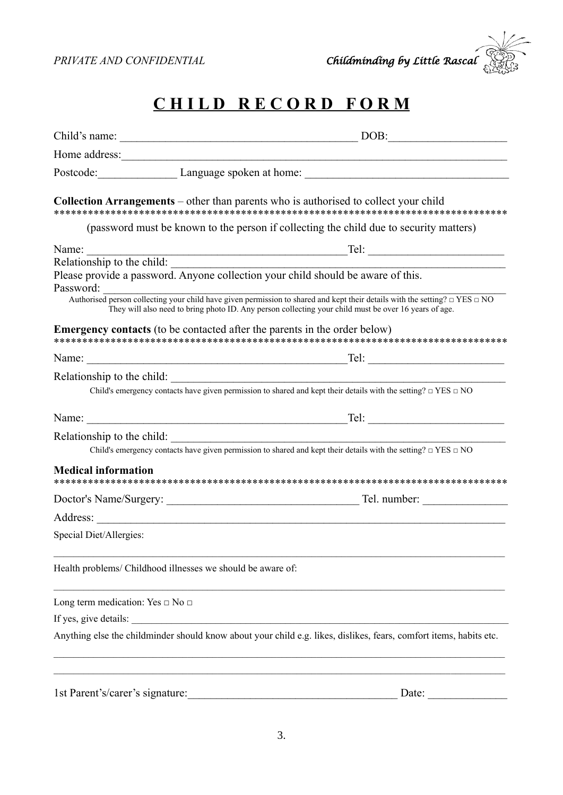

# **C H I L D R E C O R D F O R M**

| Child's name:                                                                    | DOB:                                                                                                                                                                                                                                           |
|----------------------------------------------------------------------------------|------------------------------------------------------------------------------------------------------------------------------------------------------------------------------------------------------------------------------------------------|
| Home address:                                                                    |                                                                                                                                                                                                                                                |
|                                                                                  |                                                                                                                                                                                                                                                |
|                                                                                  | <b>Collection Arrangements</b> – other than parents who is authorised to collect your child<br>(password must be known to the person if collecting the child due to security matters)                                                          |
|                                                                                  |                                                                                                                                                                                                                                                |
|                                                                                  |                                                                                                                                                                                                                                                |
| Password:                                                                        |                                                                                                                                                                                                                                                |
|                                                                                  | Authorised person collecting your child have given permission to shared and kept their details with the setting? $\Box$ YES $\Box$ NO<br>They will also need to bring photo ID. Any person collecting your child must be over 16 years of age. |
| <b>Emergency contacts</b> (to be contacted after the parents in the order below) |                                                                                                                                                                                                                                                |
|                                                                                  |                                                                                                                                                                                                                                                |
| Relationship to the child:                                                       | Child's emergency contacts have given permission to shared and kept their details with the setting? $\Box$ YES $\Box$ NO                                                                                                                       |
|                                                                                  |                                                                                                                                                                                                                                                |
| Relationship to the child:                                                       |                                                                                                                                                                                                                                                |
|                                                                                  | Child's emergency contacts have given permission to shared and kept their details with the setting? $\Box$ YES $\Box$ NO                                                                                                                       |
| <b>Medical information</b>                                                       |                                                                                                                                                                                                                                                |
|                                                                                  |                                                                                                                                                                                                                                                |
|                                                                                  | the control of the control of the control of the control of the control of                                                                                                                                                                     |
| Special Diet/Allergies:                                                          |                                                                                                                                                                                                                                                |
| Health problems/ Childhood illnesses we should be aware of:                      |                                                                                                                                                                                                                                                |
| Long term medication: Yes $\Box$ No $\Box$                                       |                                                                                                                                                                                                                                                |
| If yes, give details:                                                            |                                                                                                                                                                                                                                                |
|                                                                                  | Anything else the childminder should know about your child e.g. likes, dislikes, fears, comfort items, habits etc.                                                                                                                             |
|                                                                                  |                                                                                                                                                                                                                                                |
| 1st Parent's/carer's signature:                                                  | Date:                                                                                                                                                                                                                                          |